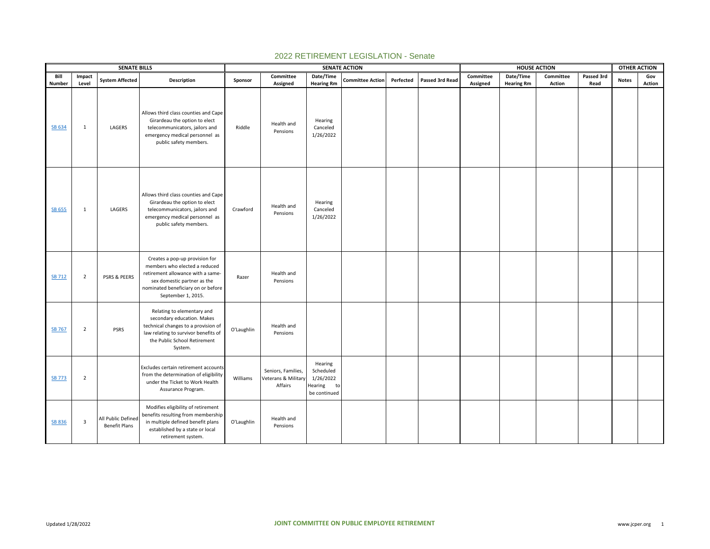|               |                         | <b>SENATE BILLS</b>                        |                                                                                                                                                                                                 |            |                                                      |                                                                    | <b>SENATE ACTION</b>    | <b>HOUSE ACTION</b> |                 |           |                   |           | <b>OTHER ACTION</b> |              |        |
|---------------|-------------------------|--------------------------------------------|-------------------------------------------------------------------------------------------------------------------------------------------------------------------------------------------------|------------|------------------------------------------------------|--------------------------------------------------------------------|-------------------------|---------------------|-----------------|-----------|-------------------|-----------|---------------------|--------------|--------|
| Bill          | Impact                  | <b>System Affected</b>                     | Description                                                                                                                                                                                     | Sponsor    | Committee                                            | Date/Time                                                          | <b>Committee Action</b> | Perfected           | Passed 3rd Read | Committee | Date/Time         | Committee | Passed 3rd          | <b>Notes</b> | Gov    |
| Number        | Level                   |                                            |                                                                                                                                                                                                 |            | Assigned                                             | <b>Hearing Rm</b>                                                  |                         |                     |                 | Assigned  | <b>Hearing Rm</b> | Action    | Read                |              | Action |
| SB 634        | $\mathbf{1}$            | LAGERS                                     | Allows third class counties and Cape<br>Girardeau the option to elect<br>telecommunicators, jailors and<br>emergency medical personnel as<br>public safety members.                             | Riddle     | Health and<br>Pensions                               | Hearing<br>Canceled<br>1/26/2022                                   |                         |                     |                 |           |                   |           |                     |              |        |
| <b>SB 655</b> | $\mathbf{1}$            | LAGERS                                     | Allows third class counties and Cape<br>Girardeau the option to elect<br>telecommunicators, jailors and<br>emergency medical personnel as<br>public safety members.                             | Crawford   | Health and<br>Pensions                               | Hearing<br>Canceled<br>1/26/2022                                   |                         |                     |                 |           |                   |           |                     |              |        |
| <b>SB 712</b> | $\overline{2}$          | PSRS & PEERS                               | Creates a pop-up provision for<br>members who elected a reduced<br>retirement allowance with a same-<br>sex domestic partner as the<br>nominated beneficiary on or before<br>September 1, 2015. | Razer      | Health and<br>Pensions                               |                                                                    |                         |                     |                 |           |                   |           |                     |              |        |
| SB 767        | $\overline{2}$          | <b>PSRS</b>                                | Relating to elementary and<br>secondary education. Makes<br>technical changes to a provision of<br>law relating to survivor benefits of<br>the Public School Retirement<br>System.              | O'Laughlin | Health and<br>Pensions                               |                                                                    |                         |                     |                 |           |                   |           |                     |              |        |
| <b>SB 773</b> | $\overline{2}$          |                                            | Excludes certain retirement accounts<br>from the determination of eligibility<br>under the Ticket to Work Health<br>Assurance Program.                                                          | Williams   | Seniors, Families,<br>Veterans & Military<br>Affairs | Hearing<br>Scheduled<br>1/26/2022<br>Hearing<br>to<br>be continued |                         |                     |                 |           |                   |           |                     |              |        |
| <b>SB 836</b> | $\overline{\mathbf{3}}$ | All Public Defined<br><b>Benefit Plans</b> | Modifies eligibility of retirement<br>benefits resulting from membership<br>in multiple defined benefit plans<br>established by a state or local<br>retirement system.                          | O'Laughlin | Health and<br>Pensions                               |                                                                    |                         |                     |                 |           |                   |           |                     |              |        |

## 2022 RETIREMENT LEGISLATION - Senate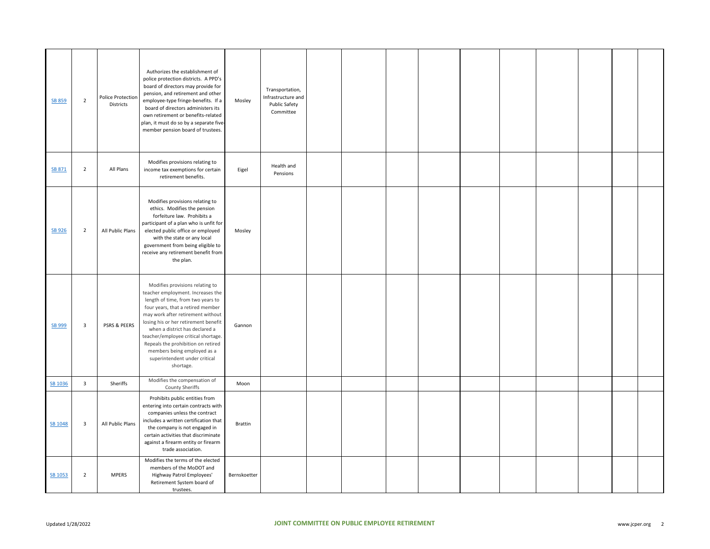| SB 859  | $\overline{2}$          | Police Protection<br>Districts | Authorizes the establishment of<br>police protection districts. A PPD's<br>board of directors may provide for<br>pension, and retirement and other<br>employee-type fringe-benefits. If a<br>board of directors administers its<br>own retirement or benefits-related<br>plan, it must do so by a separate five-<br>member pension board of trustees.                                                                   | Mosley         | Transportation,<br>Infrastructure and<br><b>Public Safety</b><br>Committee |  |  |  |  |  |
|---------|-------------------------|--------------------------------|-------------------------------------------------------------------------------------------------------------------------------------------------------------------------------------------------------------------------------------------------------------------------------------------------------------------------------------------------------------------------------------------------------------------------|----------------|----------------------------------------------------------------------------|--|--|--|--|--|
| SB 871  | $\overline{2}$          | All Plans                      | Modifies provisions relating to<br>income tax exemptions for certain<br>retirement benefits.                                                                                                                                                                                                                                                                                                                            | Eigel          | Health and<br>Pensions                                                     |  |  |  |  |  |
| SB 926  | $\overline{2}$          | All Public Plans               | Modifies provisions relating to<br>ethics. Modifies the pension<br>forfeiture law. Prohibits a<br>participant of a plan who is unfit for<br>elected public office or employed<br>with the state or any local<br>government from being eligible to<br>receive any retirement benefit from<br>the plan.                                                                                                                   | Mosley         |                                                                            |  |  |  |  |  |
| SB 999  | $\overline{\mathbf{3}}$ | PSRS & PEERS                   | Modifies provisions relating to<br>teacher employment. Increases the<br>length of time, from two years to<br>four years, that a retired member<br>may work after retirement without<br>losing his or her retirement benefit<br>when a district has declared a<br>teacher/employee critical shortage.<br>Repeals the prohibition on retired<br>members being employed as a<br>superintendent under critical<br>shortage. | Gannon         |                                                                            |  |  |  |  |  |
| SB 1036 | $\overline{\mathbf{3}}$ | Sheriffs                       | Modifies the compensation of<br>County Sheriffs                                                                                                                                                                                                                                                                                                                                                                         | Moon           |                                                                            |  |  |  |  |  |
| SB 1048 | $\overline{\mathbf{3}}$ | All Public Plans               | Prohibits public entities from<br>entering into certain contracts with<br>companies unless the contract<br>includes a written certification that<br>the company is not engaged in<br>certain activities that discriminate<br>against a firearm entity or firearm<br>trade association.                                                                                                                                  | <b>Brattin</b> |                                                                            |  |  |  |  |  |
| SB 1053 | $\overline{2}$          | <b>MPERS</b>                   | Modifies the terms of the elected<br>members of the MoDOT and<br>Highway Patrol Employees'<br>Retirement System board of<br>trustees.                                                                                                                                                                                                                                                                                   | Bernskoetter   |                                                                            |  |  |  |  |  |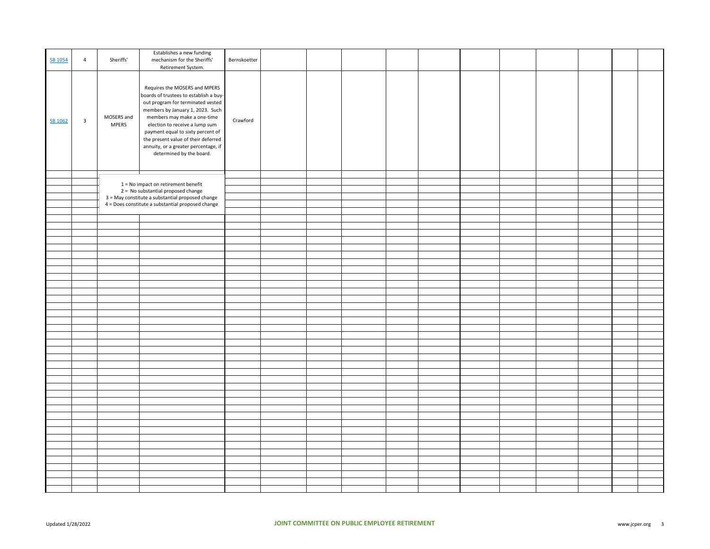| SB 1054 | $\overline{4}$          | Sheriffs'                  | Establishes a new funding<br>mechanism for the Sheriffs'<br>Retirement System.                                                                                                                                                                                                                                                                                    | Bernskoetter |  |  |  |  |  |  |
|---------|-------------------------|----------------------------|-------------------------------------------------------------------------------------------------------------------------------------------------------------------------------------------------------------------------------------------------------------------------------------------------------------------------------------------------------------------|--------------|--|--|--|--|--|--|
| SB 1062 | $\overline{\mathbf{3}}$ | MOSERS and<br><b>MPERS</b> | Requires the MOSERS and MPERS<br>boards of trustees to establish a buy-<br>out program for terminated vested<br>members by January 1, 2023. Such<br>members may make a one-time<br>election to receive a lump sum<br>payment equal to sixty percent of<br>the present value of their deferred<br>annuity, or a greater percentage, if<br>determined by the board. | Crawford     |  |  |  |  |  |  |
|         |                         |                            |                                                                                                                                                                                                                                                                                                                                                                   |              |  |  |  |  |  |  |
|         |                         |                            | 1 = No impact on retirement benefit                                                                                                                                                                                                                                                                                                                               |              |  |  |  |  |  |  |
|         |                         |                            | 2 = No substantial proposed change                                                                                                                                                                                                                                                                                                                                |              |  |  |  |  |  |  |
|         |                         |                            | 3 = May constitute a substantial proposed change                                                                                                                                                                                                                                                                                                                  |              |  |  |  |  |  |  |
|         |                         |                            | 4 = Does constitute a substantial proposed change                                                                                                                                                                                                                                                                                                                 |              |  |  |  |  |  |  |
|         |                         |                            |                                                                                                                                                                                                                                                                                                                                                                   |              |  |  |  |  |  |  |
|         |                         |                            |                                                                                                                                                                                                                                                                                                                                                                   |              |  |  |  |  |  |  |
|         |                         |                            |                                                                                                                                                                                                                                                                                                                                                                   |              |  |  |  |  |  |  |
|         |                         |                            |                                                                                                                                                                                                                                                                                                                                                                   |              |  |  |  |  |  |  |
|         |                         |                            |                                                                                                                                                                                                                                                                                                                                                                   |              |  |  |  |  |  |  |
|         |                         |                            |                                                                                                                                                                                                                                                                                                                                                                   |              |  |  |  |  |  |  |
|         |                         |                            |                                                                                                                                                                                                                                                                                                                                                                   |              |  |  |  |  |  |  |
|         |                         |                            |                                                                                                                                                                                                                                                                                                                                                                   |              |  |  |  |  |  |  |
|         |                         |                            |                                                                                                                                                                                                                                                                                                                                                                   |              |  |  |  |  |  |  |
|         |                         |                            |                                                                                                                                                                                                                                                                                                                                                                   |              |  |  |  |  |  |  |
|         |                         |                            |                                                                                                                                                                                                                                                                                                                                                                   |              |  |  |  |  |  |  |
|         |                         |                            |                                                                                                                                                                                                                                                                                                                                                                   |              |  |  |  |  |  |  |
|         |                         |                            |                                                                                                                                                                                                                                                                                                                                                                   |              |  |  |  |  |  |  |
|         |                         |                            |                                                                                                                                                                                                                                                                                                                                                                   |              |  |  |  |  |  |  |
|         |                         |                            |                                                                                                                                                                                                                                                                                                                                                                   |              |  |  |  |  |  |  |
|         |                         |                            |                                                                                                                                                                                                                                                                                                                                                                   |              |  |  |  |  |  |  |
|         |                         |                            |                                                                                                                                                                                                                                                                                                                                                                   |              |  |  |  |  |  |  |
|         |                         |                            |                                                                                                                                                                                                                                                                                                                                                                   |              |  |  |  |  |  |  |
|         |                         |                            |                                                                                                                                                                                                                                                                                                                                                                   |              |  |  |  |  |  |  |
|         |                         |                            |                                                                                                                                                                                                                                                                                                                                                                   |              |  |  |  |  |  |  |
|         |                         |                            |                                                                                                                                                                                                                                                                                                                                                                   |              |  |  |  |  |  |  |
|         |                         |                            |                                                                                                                                                                                                                                                                                                                                                                   |              |  |  |  |  |  |  |
|         |                         |                            |                                                                                                                                                                                                                                                                                                                                                                   |              |  |  |  |  |  |  |
|         |                         |                            |                                                                                                                                                                                                                                                                                                                                                                   |              |  |  |  |  |  |  |
|         |                         |                            |                                                                                                                                                                                                                                                                                                                                                                   |              |  |  |  |  |  |  |
|         |                         |                            |                                                                                                                                                                                                                                                                                                                                                                   |              |  |  |  |  |  |  |
|         |                         |                            |                                                                                                                                                                                                                                                                                                                                                                   |              |  |  |  |  |  |  |
|         |                         |                            |                                                                                                                                                                                                                                                                                                                                                                   |              |  |  |  |  |  |  |
|         |                         |                            |                                                                                                                                                                                                                                                                                                                                                                   |              |  |  |  |  |  |  |
|         |                         |                            |                                                                                                                                                                                                                                                                                                                                                                   |              |  |  |  |  |  |  |
|         |                         |                            |                                                                                                                                                                                                                                                                                                                                                                   |              |  |  |  |  |  |  |
|         |                         |                            |                                                                                                                                                                                                                                                                                                                                                                   |              |  |  |  |  |  |  |
|         |                         |                            |                                                                                                                                                                                                                                                                                                                                                                   |              |  |  |  |  |  |  |
|         |                         |                            |                                                                                                                                                                                                                                                                                                                                                                   |              |  |  |  |  |  |  |
|         |                         |                            |                                                                                                                                                                                                                                                                                                                                                                   |              |  |  |  |  |  |  |
|         |                         |                            |                                                                                                                                                                                                                                                                                                                                                                   |              |  |  |  |  |  |  |
|         |                         |                            |                                                                                                                                                                                                                                                                                                                                                                   |              |  |  |  |  |  |  |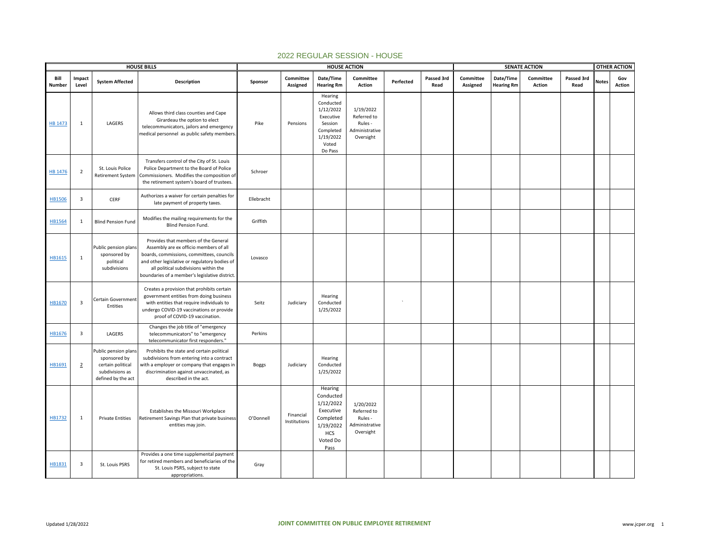|                |                         |                                                                                                    | <b>HOUSE BILLS</b>                                                                                                                                                                                                                                                     |              |                           | <b>HOUSE ACTION</b>                                                                                        |                                                                    |           | <b>SENATE ACTION</b> |                       |                                |                            |                    | <b>OTHER ACTION</b> |               |
|----------------|-------------------------|----------------------------------------------------------------------------------------------------|------------------------------------------------------------------------------------------------------------------------------------------------------------------------------------------------------------------------------------------------------------------------|--------------|---------------------------|------------------------------------------------------------------------------------------------------------|--------------------------------------------------------------------|-----------|----------------------|-----------------------|--------------------------------|----------------------------|--------------------|---------------------|---------------|
| Bill<br>Number | Impact<br>Level         | <b>System Affected</b>                                                                             | <b>Description</b>                                                                                                                                                                                                                                                     | Sponsor      | Committee<br>Assigned     | Date/Time<br><b>Hearing Rm</b>                                                                             | Committee<br><b>Action</b>                                         | Perfected | Passed 3rd<br>Read   | Committee<br>Assigned | Date/Time<br><b>Hearing Rm</b> | Committee<br><b>Action</b> | Passed 3rd<br>Read | <b>Notes</b>        | Gov<br>Action |
| <b>HB 1473</b> | $\mathbf{1}$            | LAGERS                                                                                             | Allows third class counties and Cape<br>Girardeau the option to elect<br>telecommunicators, jailors and emergency<br>medical personnel as public safety members.                                                                                                       | Pike         | Pensions                  | Hearing<br>Conducted<br>1/12/2022<br>Executive<br>Session<br>Completed<br>1/19/2022<br>Voted<br>Do Pass    | 1/19/2022<br>Referred to<br>Rules -<br>Administrative<br>Oversight |           |                      |                       |                                |                            |                    |                     |               |
| <b>HB 1476</b> | $\overline{2}$          | St. Louis Police<br><b>Retirement System</b>                                                       | Transfers control of the City of St. Louis<br>Police Department to the Board of Police<br>Commissioners. Modifies the composition of<br>the retirement system's board of trustees.                                                                                     | Schroer      |                           |                                                                                                            |                                                                    |           |                      |                       |                                |                            |                    |                     |               |
| <b>HB1506</b>  | $\overline{\mathbf{3}}$ | CERF                                                                                               | Authorizes a waiver for certain penalties for<br>late payment of property taxes.                                                                                                                                                                                       | Ellebracht   |                           |                                                                                                            |                                                                    |           |                      |                       |                                |                            |                    |                     |               |
| HB1564         | 1                       | <b>Blind Pension Fund</b>                                                                          | Modifies the mailing requirements for the<br>Blind Pension Fund.                                                                                                                                                                                                       | Griffith     |                           |                                                                                                            |                                                                    |           |                      |                       |                                |                            |                    |                     |               |
| HB1615         | 1                       | Public pension plans<br>sponsored by<br>political<br>subdivisions                                  | Provides that members of the General<br>Assembly are ex officio members of all<br>boards, commissions, committees, councils<br>and other legislative or regulatory bodies of<br>all political subdivisions within the<br>boundaries of a member's legislative district | Lovasco      |                           |                                                                                                            |                                                                    |           |                      |                       |                                |                            |                    |                     |               |
| HB1670         | $\overline{\mathbf{3}}$ | Certain Government<br>Entities                                                                     | Creates a provision that prohibits certain<br>government entities from doing business<br>with entities that require individuals to<br>undergo COVID-19 vaccinations or provide<br>proof of COVID-19 vaccination.                                                       | Seitz        | Judiciary                 | Hearing<br>Conducted<br>1/25/2022                                                                          |                                                                    |           |                      |                       |                                |                            |                    |                     |               |
| HB1676         | $\overline{\mathbf{3}}$ | LAGERS                                                                                             | Changes the job title of "emergency<br>telecommunicators" to "emergency<br>telecommunicator first responders."                                                                                                                                                         | Perkins      |                           |                                                                                                            |                                                                    |           |                      |                       |                                |                            |                    |                     |               |
| HB1691         | $\overline{2}$          | Public pension plans<br>sponsored by<br>certain political<br>subdivisions as<br>defined by the act | Prohibits the state and certain political<br>subdivisions from entering into a contract<br>with a employer or company that engages in<br>discrimination against unvaccinated, as<br>described in the act.                                                              | <b>Boggs</b> | Judiciary                 | Hearing<br>Conducted<br>1/25/2022                                                                          |                                                                    |           |                      |                       |                                |                            |                    |                     |               |
| HB1732         | 1                       | <b>Private Entities</b>                                                                            | Establishes the Missouri Workplace<br>Retirement Savings Plan that private business<br>entities may join.                                                                                                                                                              | O'Donnell    | Financial<br>Institutions | Hearing<br>Conducted<br>1/12/2022<br>Executive<br>Completed<br>1/19/2022<br><b>HCS</b><br>Voted Do<br>Pass | 1/20/2022<br>Referred to<br>Rules -<br>Administrative<br>Oversight |           |                      |                       |                                |                            |                    |                     |               |
| HB1831         | $\overline{\mathbf{3}}$ | St. Louis PSRS                                                                                     | Provides a one time supplemental payment<br>for retired members and beneficiaries of the<br>St. Louis PSRS, subject to state<br>appropriations.                                                                                                                        | Gray         |                           |                                                                                                            |                                                                    |           |                      |                       |                                |                            |                    |                     |               |

## 2022 REGULAR SESSION - HOUSE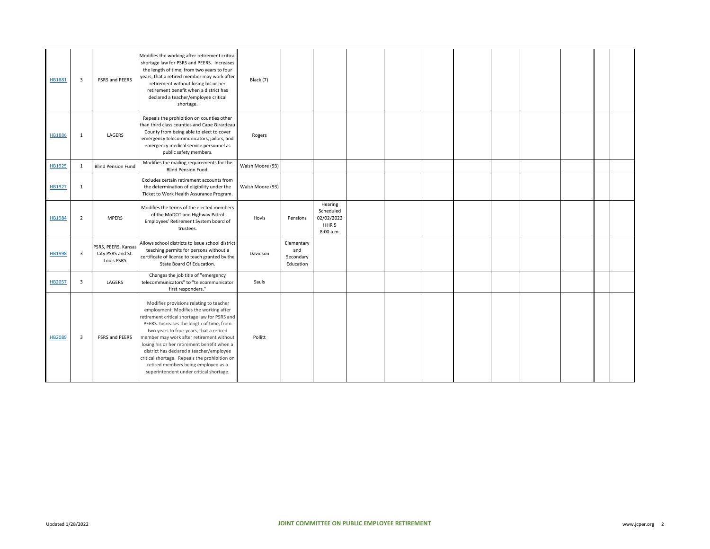| HB1881        | $\overline{\mathbf{3}}$ | PSRS and PEERS                                                | Modifies the working after retirement critical<br>shortage law for PSRS and PEERS. Increases<br>the length of time, from two years to four<br>years, that a retired member may work after<br>retirement without losing his or her<br>retirement benefit when a district has<br>declared a teacher/employee critical<br>shortage.                                                                                                                                                                     | Black (7)        |                                             |                                                                     |  |  |  |  |  |
|---------------|-------------------------|---------------------------------------------------------------|------------------------------------------------------------------------------------------------------------------------------------------------------------------------------------------------------------------------------------------------------------------------------------------------------------------------------------------------------------------------------------------------------------------------------------------------------------------------------------------------------|------------------|---------------------------------------------|---------------------------------------------------------------------|--|--|--|--|--|
| <b>HB1886</b> | $\mathbf{1}$            | LAGERS                                                        | Repeals the prohibition on counties other<br>than third class counties and Cape Girardeau<br>County from being able to elect to cover<br>emergency telecommunicators, jailors, and<br>emergency medical service personnel as<br>public safety members.                                                                                                                                                                                                                                               | Rogers           |                                             |                                                                     |  |  |  |  |  |
| HB1925        | 1                       | <b>Blind Pension Fund</b>                                     | Modifies the mailing requirements for the<br>Blind Pension Fund.                                                                                                                                                                                                                                                                                                                                                                                                                                     | Walsh Moore (93) |                                             |                                                                     |  |  |  |  |  |
| HB1927        | 1                       |                                                               | Excludes certain retirement accounts from<br>the determination of eligibility under the<br>Ticket to Work Health Assurance Program.                                                                                                                                                                                                                                                                                                                                                                  | Walsh Moore (93) |                                             |                                                                     |  |  |  |  |  |
| <b>HB1984</b> | $\overline{2}$          | <b>MPERS</b>                                                  | Modifies the terms of the elected members<br>of the MoDOT and Highway Patrol<br>Employees' Retirement System board of<br>trustees.                                                                                                                                                                                                                                                                                                                                                                   | Hovis            | Pensions                                    | Hearing<br>Scheduled<br>02/02/2022<br>HHR <sub>5</sub><br>8:00 a.m. |  |  |  |  |  |
| <b>HB1998</b> | 3                       | PSRS, PEERS, Kansas<br>City PSRS and St.<br><b>Louis PSRS</b> | Allows school districts to issue school district<br>teaching permits for persons without a<br>certificate of license to teach granted by the<br>State Board Of Education.                                                                                                                                                                                                                                                                                                                            | Davidson         | Elementary<br>and<br>Secondary<br>Education |                                                                     |  |  |  |  |  |
| HB2057        | $\overline{\mathbf{3}}$ | LAGERS                                                        | Changes the job title of "emergency<br>telecommunicators" to "telecommunicator<br>first responders."                                                                                                                                                                                                                                                                                                                                                                                                 | Sauls            |                                             |                                                                     |  |  |  |  |  |
| HB2089        | $\overline{\mathbf{3}}$ | PSRS and PEERS                                                | Modifies provisions relating to teacher<br>employment. Modifies the working after<br>retirement critical shortage law for PSRS and<br>PEERS. Increases the length of time, from<br>two years to four years, that a retired<br>member may work after retirement without<br>losing his or her retirement benefit when a<br>district has declared a teacher/employee<br>critical shortage. Repeals the prohibition on<br>retired members being employed as a<br>superintendent under critical shortage. | Pollitt          |                                             |                                                                     |  |  |  |  |  |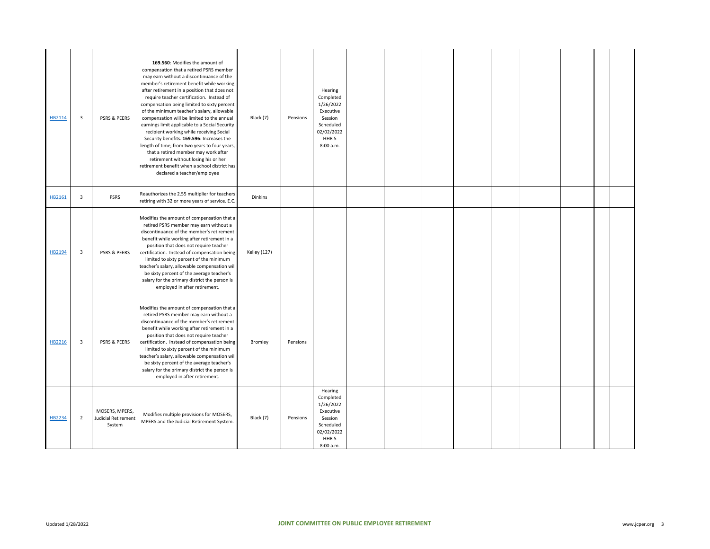| HB2114 | 3              | PSRS & PEERS                                    | 169.560: Modifies the amount of<br>compensation that a retired PSRS member<br>may earn without a discontinuance of the<br>member's retirement benefit while working<br>after retirement in a position that does not<br>require teacher certification. Instead of<br>compensation being limited to sixty percent<br>of the minimum teacher's salary, allowable<br>compensation will be limited to the annual<br>earnings limit applicable to a Social Security<br>recipient working while receiving Social<br>Security benefits. 169.596: Increases the<br>length of time, from two years to four years,<br>that a retired member may work after<br>retirement without losing his or her<br>retirement benefit when a school district has<br>declared a teacher/employee | Black (7)           | Pensions | Hearing<br>Completed<br>1/26/2022<br>Executive<br>Session<br>Scheduled<br>02/02/2022<br>HHR <sub>5</sub><br>8:00 a.m. |  |  |  |  |  |
|--------|----------------|-------------------------------------------------|-------------------------------------------------------------------------------------------------------------------------------------------------------------------------------------------------------------------------------------------------------------------------------------------------------------------------------------------------------------------------------------------------------------------------------------------------------------------------------------------------------------------------------------------------------------------------------------------------------------------------------------------------------------------------------------------------------------------------------------------------------------------------|---------------------|----------|-----------------------------------------------------------------------------------------------------------------------|--|--|--|--|--|
| HB2161 | 3              | PSRS                                            | Reauthorizes the 2.55 multiplier for teachers<br>retiring with 32 or more years of service. E.C.                                                                                                                                                                                                                                                                                                                                                                                                                                                                                                                                                                                                                                                                        | Dinkins             |          |                                                                                                                       |  |  |  |  |  |
| HB2194 | 3              | PSRS & PEERS                                    | Modifies the amount of compensation that a<br>retired PSRS member may earn without a<br>discontinuance of the member's retirement<br>benefit while working after retirement in a<br>position that does not require teacher<br>certification. Instead of compensation being<br>limited to sixty percent of the minimum<br>teacher's salary, allowable compensation will<br>be sixty percent of the average teacher's<br>salary for the primary district the person is<br>employed in after retirement.                                                                                                                                                                                                                                                                   | <b>Kelley (127)</b> |          |                                                                                                                       |  |  |  |  |  |
| HB2216 | 3              | PSRS & PEERS                                    | Modifies the amount of compensation that a<br>retired PSRS member may earn without a<br>discontinuance of the member's retirement<br>benefit while working after retirement in a<br>position that does not require teacher<br>certification. Instead of compensation being<br>limited to sixty percent of the minimum<br>teacher's salary, allowable compensation will<br>be sixty percent of the average teacher's<br>salary for the primary district the person is<br>employed in after retirement.                                                                                                                                                                                                                                                                   | Bromley             | Pensions |                                                                                                                       |  |  |  |  |  |
| HB2234 | $\overline{2}$ | MOSERS, MPERS,<br>Judicial Retirement<br>System | Modifies multiple provisions for MOSERS,<br>MPERS and the Judicial Retirement System.                                                                                                                                                                                                                                                                                                                                                                                                                                                                                                                                                                                                                                                                                   | Black (7)           | Pensions | Hearing<br>Completed<br>1/26/2022<br>Executive<br>Session<br>Scheduled<br>02/02/2022<br>HHR <sub>5</sub><br>8:00 a.m. |  |  |  |  |  |